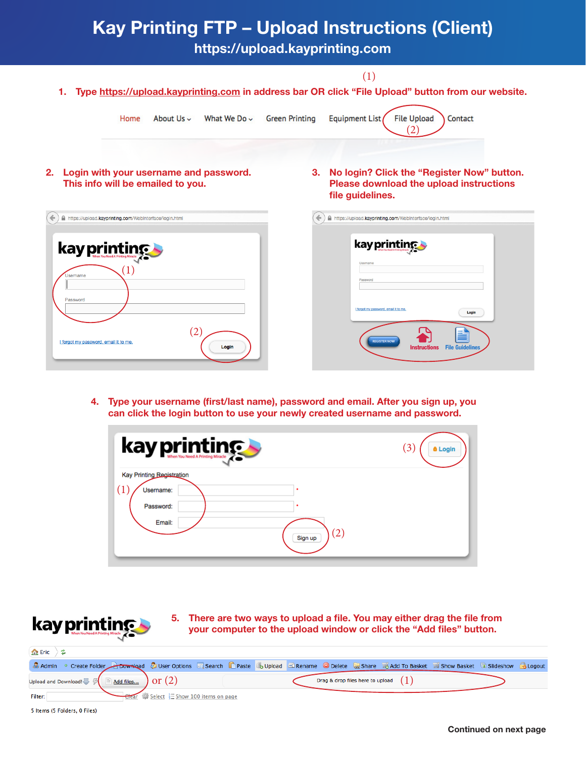## Kay Printing FTP – Upload Instructions (Client)

https://upload.kayprinting.com

1. Type https://upload.kayprinting.com in address bar OR click "File Upload" button from our website.

(1)

| About $Us \sim$<br>What We Do $\sim$<br>Home                                                 | <b>File Upload</b><br><b>Green Printing</b><br>Equipment List<br>Contact                                                                                           |
|----------------------------------------------------------------------------------------------|--------------------------------------------------------------------------------------------------------------------------------------------------------------------|
| 2.<br>Login with your username and password.<br>This info will be emailed to you.            | No login? Click the "Register Now" button.<br>3.<br><b>Please download the upload instructions</b><br>file guidelines.                                             |
| https://upload.kayprinting.com/WebInterface/login.html<br>$\leftarrow$<br>⋒                  | https://upload.kayprinting.com/WebInterface/login.html                                                                                                             |
| kay printing<br>Jsername<br>Password<br>(2<br>I forgot my password, email it to me.<br>Login | kay printing<br>Username<br>Password<br>I forgot my password, email it to me<br>Login<br>≡<br><b>REGISTER NOW</b><br><b>Instructions</b><br><b>File Guidelines</b> |

4. Type your username (first/last name), password and email. After you sign up, you can click the login button to use your newly created username and password.

| kay printing                            |                              | $\mathfrak{Z}$<br><b>8 Login</b> |
|-----------------------------------------|------------------------------|----------------------------------|
| Kay Printing Registration               |                              |                                  |
| (1)<br>Username:<br>Password:<br>Email: | $\left( 2\right)$<br>Sign up |                                  |



5 Items (5 Folders, 0 Files)

5. There are two ways to upload a file. You may either drag the file from your computer to the upload window or click the "Add files" button.

| 金Eric ) 2                                                                                                                                                |  |                                         |  |  |  |  |  |  |                                        |  |  |
|----------------------------------------------------------------------------------------------------------------------------------------------------------|--|-----------------------------------------|--|--|--|--|--|--|----------------------------------------|--|--|
| & Admin © Create Folder Roomsland & User Options El Search Theate & Upload El Rename O Delete & Share & Add To Basket & Show Basket & Slideshow & Logout |  |                                         |  |  |  |  |  |  |                                        |  |  |
| Upload and Download! $\clubsuit$ $\mathbb{F}$ $\cong$ Add files $\bullet$ or $(2)$                                                                       |  |                                         |  |  |  |  |  |  | Drag & drop files here to upload $(1)$ |  |  |
| Filter:                                                                                                                                                  |  | Elear We Select Eshow 100 items on page |  |  |  |  |  |  |                                        |  |  |

Continued on next page